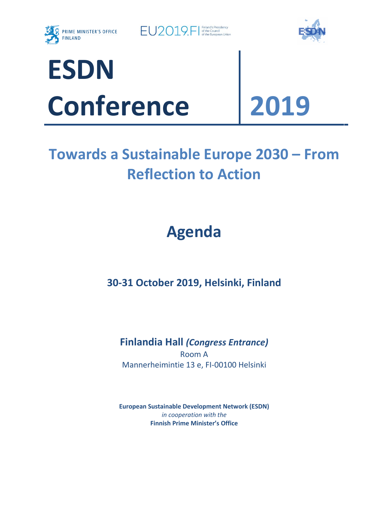

 $E$  $O2019$   $F$   $\frac{F \text{inland's Precision}}{S \text{ of the European Union}}$ 





# **Towards a Sustainable Europe 2030 – From Reflection to Action**

## **Agenda**

**30-31 October 2019, Helsinki, Finland**

**Finlandia Hall** *(Congress Entrance)* Room A Mannerheimintie 13 e, FI-00100 Helsinki

**European Sustainable Development Network (ESDN)** *in cooperation with the* **Finnish Prime Minister's Office**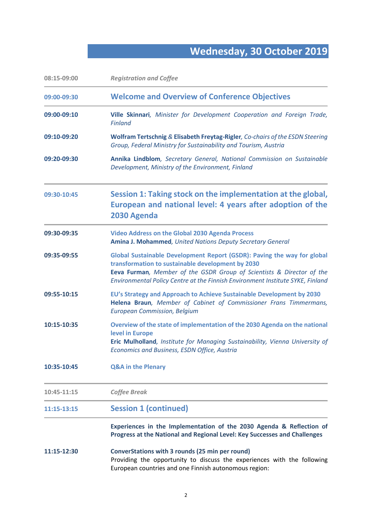## **Wednesday, 30 October 2019**

| 08:15-09:00 | <b>Registration and Coffee</b>                                                                                                                                                                                                                                                          |
|-------------|-----------------------------------------------------------------------------------------------------------------------------------------------------------------------------------------------------------------------------------------------------------------------------------------|
| 09:00-09:30 | <b>Welcome and Overview of Conference Objectives</b>                                                                                                                                                                                                                                    |
| 09:00-09:10 | Ville Skinnari, Minister for Development Cooperation and Foreign Trade,<br><b>Finland</b>                                                                                                                                                                                               |
| 09:10-09:20 | Wolfram Tertschnig & Elisabeth Freytag-Rigler, Co-chairs of the ESDN Steering<br>Group, Federal Ministry for Sustainability and Tourism, Austria                                                                                                                                        |
| 09:20-09:30 | Annika Lindblom, Secretary General, National Commission on Sustainable<br>Development, Ministry of the Environment, Finland                                                                                                                                                             |
| 09:30-10:45 | Session 1: Taking stock on the implementation at the global,<br>European and national level: 4 years after adoption of the<br>2030 Agenda                                                                                                                                               |
| 09:30-09:35 | <b>Video Address on the Global 2030 Agenda Process</b><br>Amina J. Mohammed, United Nations Deputy Secretary General                                                                                                                                                                    |
| 09:35-09:55 | Global Sustainable Development Report (GSDR): Paving the way for global<br>transformation to sustainable development by 2030<br>Eeva Furman, Member of the GSDR Group of Scientists & Director of the<br>Environmental Policy Centre at the Finnish Environment Institute SYKE, Finland |
| 09:55-10:15 | EU's Strategy and Approach to Achieve Sustainable Development by 2030<br>Helena Braun, Member of Cabinet of Commissioner Frans Timmermans,<br><b>European Commission, Belgium</b>                                                                                                       |
| 10:15-10:35 | Overview of the state of implementation of the 2030 Agenda on the national<br>level in Europe<br>Eric Mulholland, Institute for Managing Sustainability, Vienna University of<br>Economics and Business, ESDN Office, Austria                                                           |
| 10:35-10:45 | <b>Q&amp;A in the Plenary</b>                                                                                                                                                                                                                                                           |
| 10:45-11:15 | <b>Coffee Break</b>                                                                                                                                                                                                                                                                     |
| 11:15-13:15 | <b>Session 1 (continued)</b>                                                                                                                                                                                                                                                            |
|             | Experiences in the Implementation of the 2030 Agenda & Reflection of<br>Progress at the National and Regional Level: Key Successes and Challenges                                                                                                                                       |
| 11:15-12:30 | ConverStations with 3 rounds (25 min per round)<br>Providing the opportunity to discuss the experiences with the following<br>European countries and one Finnish autonomous region:                                                                                                     |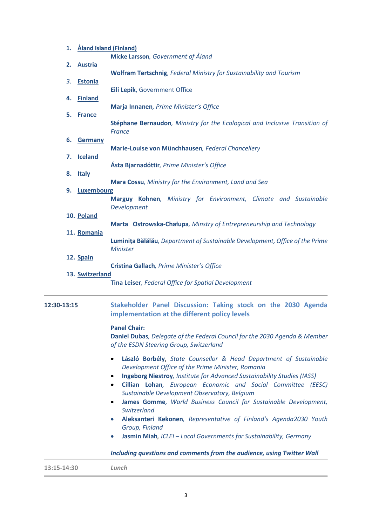| 1.          | Åland Island (Finland)          |                                                                                                                                                                                                                                                                                                                                                                  |
|-------------|---------------------------------|------------------------------------------------------------------------------------------------------------------------------------------------------------------------------------------------------------------------------------------------------------------------------------------------------------------------------------------------------------------|
|             |                                 | Micke Larsson, Government of Åland                                                                                                                                                                                                                                                                                                                               |
| 2.          | <b>Austria</b>                  | <b>Wolfram Tertschnig, Federal Ministry for Sustainability and Tourism</b>                                                                                                                                                                                                                                                                                       |
| 3.          | <b>Estonia</b>                  | Eili Lepik, Government Office                                                                                                                                                                                                                                                                                                                                    |
| 4.<br>5.    | <b>Finland</b><br><b>France</b> | Marja Innanen, Prime Minister's Office                                                                                                                                                                                                                                                                                                                           |
|             |                                 | Stéphane Bernaudon, Ministry for the Ecological and Inclusive Transition of<br><b>France</b>                                                                                                                                                                                                                                                                     |
| 6.          | <b>Germany</b>                  |                                                                                                                                                                                                                                                                                                                                                                  |
| 7.          | <b>Iceland</b>                  | Marie-Louise von Münchhausen, Federal Chancellery                                                                                                                                                                                                                                                                                                                |
| 8.          | <b>Italy</b>                    | Ásta Bjarnadóttir, Prime Minister's Office                                                                                                                                                                                                                                                                                                                       |
|             |                                 | Mara Cossu, Ministry for the Environment, Land and Sea                                                                                                                                                                                                                                                                                                           |
| 9.          | Luxembourg                      |                                                                                                                                                                                                                                                                                                                                                                  |
|             |                                 | Marguy Kohnen, Ministry for Environment, Climate and Sustainable<br>Development                                                                                                                                                                                                                                                                                  |
|             | 10. Poland                      |                                                                                                                                                                                                                                                                                                                                                                  |
|             | 11. Romania                     | Marta Ostrowska-Chałupa, Minstry of Entrepreneurship and Technology                                                                                                                                                                                                                                                                                              |
|             |                                 | Luminița Bălălău, Department of Sustainable Development, Office of the Prime<br><b>Minister</b>                                                                                                                                                                                                                                                                  |
|             | 12. Spain                       |                                                                                                                                                                                                                                                                                                                                                                  |
|             |                                 | Cristina Gallach, Prime Minister's Office                                                                                                                                                                                                                                                                                                                        |
|             | 13. Switzerland                 | Tina Leiser, Federal Office for Spatial Development                                                                                                                                                                                                                                                                                                              |
| 12:30-13:15 |                                 | Stakeholder Panel Discussion: Taking stock on the 2030 Agenda<br>implementation at the different policy levels                                                                                                                                                                                                                                                   |
|             |                                 | <b>Panel Chair:</b><br>Daniel Dubas, Delegate of the Federal Council for the 2030 Agenda & Member<br>of the ESDN Steering Group, Switzerland                                                                                                                                                                                                                     |
|             |                                 | László Borbély, State Counsellor & Head Department of Sustainable<br>$\bullet$<br>Development Office of the Prime Minister, Romania<br><b>Ingeborg Niestroy</b> , Institute for Advanced Sustainability Studies (IASS)<br>$\bullet$<br>Cillian Lohan, European Economic and Social Committee (EESC)<br>$\bullet$<br>Sustainable Development Observatory, Belgium |
|             |                                 | James Gomme, World Business Council for Sustainable Development,<br>$\bullet$<br>Switzerland                                                                                                                                                                                                                                                                     |
|             |                                 | Aleksanteri Kekonen, Representative of Finland's Agenda2030 Youth<br>Group, Finland                                                                                                                                                                                                                                                                              |
|             |                                 | Jasmin Miah, ICLEI - Local Governments for Sustainability, Germany<br>$\bullet$                                                                                                                                                                                                                                                                                  |
|             |                                 | Including questions and comments from the audience, using Twitter Wall                                                                                                                                                                                                                                                                                           |
| 13:15-14:30 |                                 | Lunch                                                                                                                                                                                                                                                                                                                                                            |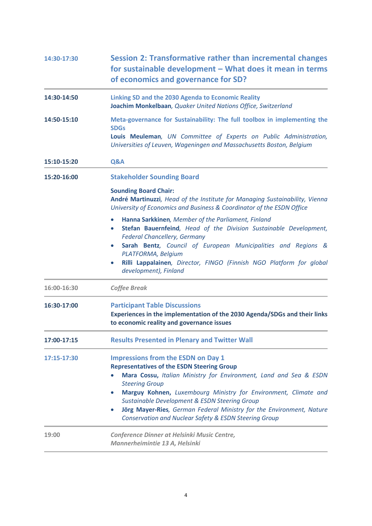| 14:30-17:30 | Session 2: Transformative rather than incremental changes<br>for sustainable development - What does it mean in terms<br>of economics and governance for SD?                                                                                                                                                                                                                                                                                                                                        |
|-------------|-----------------------------------------------------------------------------------------------------------------------------------------------------------------------------------------------------------------------------------------------------------------------------------------------------------------------------------------------------------------------------------------------------------------------------------------------------------------------------------------------------|
| 14:30-14:50 | <b>Linking SD and the 2030 Agenda to Economic Reality</b><br>Joachim Monkelbaan, Quaker United Nations Office, Switzerland                                                                                                                                                                                                                                                                                                                                                                          |
| 14:50-15:10 | Meta-governance for Sustainability: The full toolbox in implementing the<br><b>SDGs</b><br>Louis Meuleman, UN Committee of Experts on Public Administration,<br>Universities of Leuven, Wageningen and Massachusetts Boston, Belgium                                                                                                                                                                                                                                                                |
| 15:10-15:20 | Q&A                                                                                                                                                                                                                                                                                                                                                                                                                                                                                                 |
| 15:20-16:00 | <b>Stakeholder Sounding Board</b>                                                                                                                                                                                                                                                                                                                                                                                                                                                                   |
|             | <b>Sounding Board Chair:</b><br>André Martinuzzi, Head of the Institute for Managing Sustainability, Vienna<br>University of Economics and Business & Coordinator of the ESDN Office                                                                                                                                                                                                                                                                                                                |
|             | Hanna Sarkkinen, Member of the Parliament, Finland<br>$\bullet$<br>Stefan Bauernfeind, Head of the Division Sustainable Development,<br>$\bullet$<br><b>Federal Chancellery, Germany</b><br>Sarah Bentz, Council of European Municipalities and Regions &<br>PLATFORMA, Belgium<br>Rilli Lappalainen, Director, FINGO (Finnish NGO Platform for global<br>$\bullet$<br>development), Finland                                                                                                        |
| 16:00-16:30 | <b>Coffee Break</b>                                                                                                                                                                                                                                                                                                                                                                                                                                                                                 |
| 16:30-17:00 | <b>Participant Table Discussions</b><br>Experiences in the implementation of the 2030 Agenda/SDGs and their links<br>to economic reality and governance issues                                                                                                                                                                                                                                                                                                                                      |
| 17:00-17:15 | <b>Results Presented in Plenary and Twitter Wall</b>                                                                                                                                                                                                                                                                                                                                                                                                                                                |
| 17:15-17:30 | <b>Impressions from the ESDN on Day 1</b><br><b>Representatives of the ESDN Steering Group</b><br>Mara Cossu, Italian Ministry for Environment, Land and Sea & ESDN<br>$\bullet$<br><b>Steering Group</b><br>Marguy Kohnen, Luxembourg Ministry for Environment, Climate and<br>$\bullet$<br><b>Sustainable Development &amp; ESDN Steering Group</b><br>Jörg Mayer-Ries, German Federal Ministry for the Environment, Nature<br>$\bullet$<br>Conservation and Nuclear Safety & ESDN Steering Group |
| 19:00       | Conference Dinner at Helsinki Music Centre,<br>Mannerheimintie 13 A, Helsinki                                                                                                                                                                                                                                                                                                                                                                                                                       |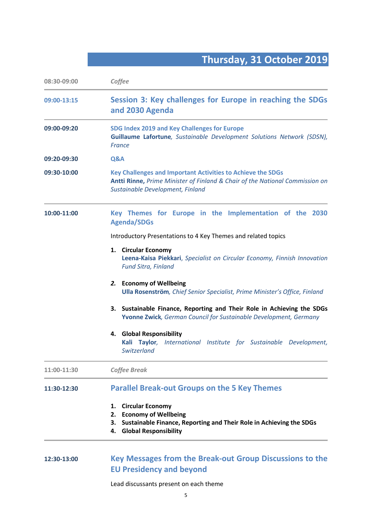### **Thursday, 31 October 2019**

| 08:30-09:00 | Coffee                                                                                                                                                                                 |
|-------------|----------------------------------------------------------------------------------------------------------------------------------------------------------------------------------------|
| 09:00-13:15 | Session 3: Key challenges for Europe in reaching the SDGs<br>and 2030 Agenda                                                                                                           |
| 09:00-09:20 | SDG Index 2019 and Key Challenges for Europe<br>Guillaume Lafortune, Sustainable Development Solutions Network (SDSN),<br><b>France</b>                                                |
| 09:20-09:30 | Q&A                                                                                                                                                                                    |
| 09:30-10:00 | <b>Key Challenges and Important Activities to Achieve the SDGs</b><br>Antti Rinne, Prime Minister of Finland & Chair of the National Commission on<br>Sustainable Development, Finland |
| 10:00-11:00 | Key Themes for Europe in the Implementation of the 2030<br><b>Agenda/SDGs</b>                                                                                                          |
|             | Introductory Presentations to 4 Key Themes and related topics                                                                                                                          |
|             | 1. Circular Economy<br>Leena-Kaisa Piekkari, Specialist on Circular Economy, Finnish Innovation<br><b>Fund Sitra, Finland</b>                                                          |
|             | 2. Economy of Wellbeing<br><b>Ulla Rosenström</b> , Chief Senior Specialist, Prime Minister's Office, Finland                                                                          |
|             | Sustainable Finance, Reporting and Their Role in Achieving the SDGs<br>3.<br>Yvonne Zwick, German Council for Sustainable Development, Germany                                         |
|             | 4. Global Responsibility<br>Kali Taylor, International Institute for Sustainable Development,<br>Switzerland                                                                           |
| 11:00-11:30 | <b>Coffee Break</b>                                                                                                                                                                    |
| 11:30-12:30 | <b>Parallel Break-out Groups on the 5 Key Themes</b>                                                                                                                                   |
|             | <b>Circular Economy</b><br>1.<br><b>Economy of Wellbeing</b><br>2.<br>Sustainable Finance, Reporting and Their Role in Achieving the SDGs<br>3.<br><b>Global Responsibility</b><br>4.  |

#### **12:30-13:00 Key Messages from the Break-out Group Discussions to the EU Presidency and beyond**

Lead discussants present on each theme